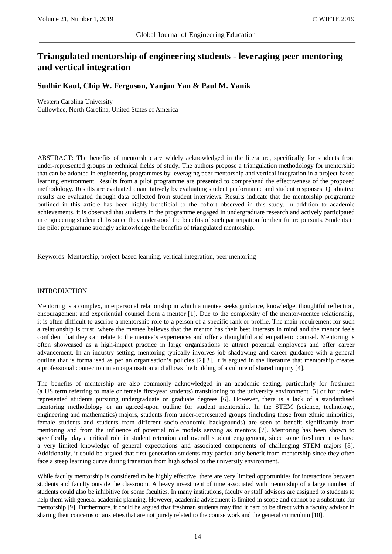# **Triangulated mentorship of engineering students - leveraging peer mentoring and vertical integration**

**Sudhir Kaul, Chip W. Ferguson, Yanjun Yan & Paul M. Yanik**

Western Carolina University Cullowhee, North Carolina, United States of America

ABSTRACT: The benefits of mentorship are widely acknowledged in the literature, specifically for students from under-represented groups in technical fields of study. The authors propose a triangulation methodology for mentorship that can be adopted in engineering programmes by leveraging peer mentorship and vertical integration in a project-based learning environment. Results from a pilot programme are presented to comprehend the effectiveness of the proposed methodology. Results are evaluated quantitatively by evaluating student performance and student responses. Qualitative results are evaluated through data collected from student interviews. Results indicate that the mentorship programme outlined in this article has been highly beneficial to the cohort observed in this study. In addition to academic achievements, it is observed that students in the programme engaged in undergraduate research and actively participated in engineering student clubs since they understood the benefits of such participation for their future pursuits. Students in the pilot programme strongly acknowledge the benefits of triangulated mentorship.

Keywords: Mentorship, project-based learning, vertical integration, peer mentoring

#### INTRODUCTION

Mentoring is a complex, interpersonal relationship in which a mentee seeks guidance, knowledge, thoughtful reflection, encouragement and experiential counsel from a mentor [1]. Due to the complexity of the mentor-mentee relationship, it is often difficult to ascribe a mentorship role to a person of a specific rank or profile. The main requirement for such a relationship is trust, where the mentee believes that the mentor has their best interests in mind and the mentor feels confident that they can relate to the mentee's experiences and offer a thoughtful and empathetic counsel. Mentoring is often showcased as a high-impact practice in large organisations to attract potential employees and offer career advancement. In an industry setting, mentoring typically involves job shadowing and career guidance with a general outline that is formalised as per an organisation's policies [2][3]. It is argued in the literature that mentorship creates a professional connection in an organisation and allows the building of a culture of shared inquiry [4].

The benefits of mentorship are also commonly acknowledged in an academic setting, particularly for freshmen (a US term referring to male or female first-year students) transitioning to the university environment [5] or for underrepresented students pursuing undergraduate or graduate degrees [6]. However, there is a lack of a standardised mentoring methodology or an agreed-upon outline for student mentorship. In the STEM (science, technology, engineering and mathematics) majors, students from under-represented groups (including those from ethnic minorities, female students and students from different socio-economic backgrounds) are seen to benefit significantly from mentoring and from the influence of potential role models serving as mentors [7]. Mentoring has been shown to specifically play a critical role in student retention and overall student engagement, since some freshmen may have a very limited knowledge of general expectations and associated components of challenging STEM majors [8]. Additionally, it could be argued that first-generation students may particularly benefit from mentorship since they often face a steep learning curve during transition from high school to the university environment.

While faculty mentorship is considered to be highly effective, there are very limited opportunities for interactions between students and faculty outside the classroom. A heavy investment of time associated with mentorship of a large number of students could also be inhibitive for some faculties. In many institutions, faculty or staff advisors are assigned to students to help them with general academic planning. However, academic advisement is limited in scope and cannot be a substitute for mentorship [9]. Furthermore, it could be argued that freshman students may find it hard to be direct with a faculty advisor in sharing their concerns or anxieties that are not purely related to the course work and the general curriculum [10].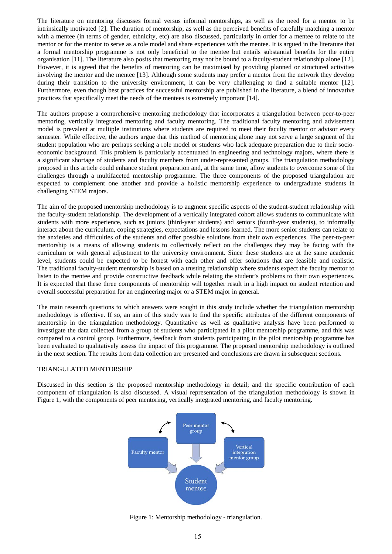The literature on mentoring discusses formal versus informal mentorships, as well as the need for a mentor to be intrinsically motivated [2]. The duration of mentorship, as well as the perceived benefits of carefully matching a mentor with a mentee (in terms of gender, ethnicity, etc) are also discussed, particularly in order for a mentee to relate to the mentor or for the mentor to serve as a role model and share experiences with the mentee. It is argued in the literature that a formal mentorship programme is not only beneficial to the mentee but entails substantial benefits for the entire organisation [11]. The literature also posits that mentoring may not be bound to a faculty-student relationship alone [12]. However, it is agreed that the benefits of mentoring can be maximised by providing planned or structured activities involving the mentor and the mentee [13]. Although some students may prefer a mentor from the network they develop during their transition to the university environment, it can be very challenging to find a suitable mentor [12]. Furthermore, even though best practices for successful mentorship are published in the literature, a blend of innovative practices that specifically meet the needs of the mentees is extremely important [14].

The authors propose a comprehensive mentoring methodology that incorporates a triangulation between peer-to-peer mentoring, vertically integrated mentoring and faculty mentoring. The traditional faculty mentoring and advisement model is prevalent at multiple institutions where students are required to meet their faculty mentor or advisor every semester. While effective, the authors argue that this method of mentoring alone may not serve a large segment of the student population who are perhaps seeking a role model or students who lack adequate preparation due to their socioeconomic background. This problem is particularly accentuated in engineering and technology majors, where there is a significant shortage of students and faculty members from under-represented groups. The triangulation methodology proposed in this article could enhance student preparation and, at the same time, allow students to overcome some of the challenges through a multifaceted mentorship programme. The three components of the proposed triangulation are expected to complement one another and provide a holistic mentorship experience to undergraduate students in challenging STEM majors.

The aim of the proposed mentorship methodology is to augment specific aspects of the student-student relationship with the faculty-student relationship. The development of a vertically integrated cohort allows students to communicate with students with more experience, such as juniors (third-year students) and seniors (fourth-year students), to informally interact about the curriculum, coping strategies, expectations and lessons learned. The more senior students can relate to the anxieties and difficulties of the students and offer possible solutions from their own experiences. The peer-to-peer mentorship is a means of allowing students to collectively reflect on the challenges they may be facing with the curriculum or with general adjustment to the university environment. Since these students are at the same academic level, students could be expected to be honest with each other and offer solutions that are feasible and realistic. The traditional faculty-student mentorship is based on a trusting relationship where students expect the faculty mentor to listen to the mentee and provide constructive feedback while relating the student's problems to their own experiences. It is expected that these three components of mentorship will together result in a high impact on student retention and overall successful preparation for an engineering major or a STEM major in general.

The main research questions to which answers were sought in this study include whether the triangulation mentorship methodology is effective. If so, an aim of this study was to find the specific attributes of the different components of mentorship in the triangulation methodology. Quantitative as well as qualitative analysis have been performed to investigate the data collected from a group of students who participated in a pilot mentorship programme, and this was compared to a control group. Furthermore, feedback from students participating in the pilot mentorship programme has been evaluated to qualitatively assess the impact of this programme. The proposed mentorship methodology is outlined in the next section. The results from data collection are presented and conclusions are drawn in subsequent sections.

### TRIANGULATED MENTORSHIP

Discussed in this section is the proposed mentorship methodology in detail; and the specific contribution of each component of triangulation is also discussed. A visual representation of the triangulation methodology is shown in Figure 1, with the components of peer mentoring, vertically integrated mentoring, and faculty mentoring.



Figure 1: Mentorship methodology - triangulation.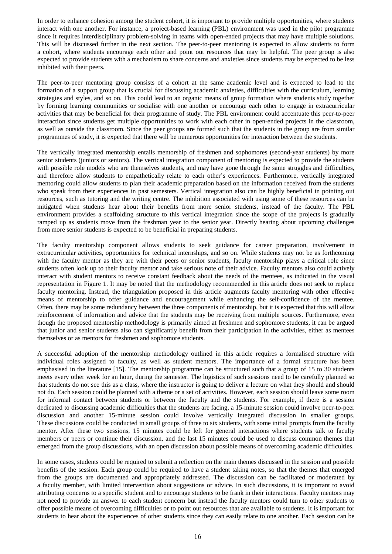In order to enhance cohesion among the student cohort, it is important to provide multiple opportunities, where students interact with one another. For instance, a project-based learning (PBL) environment was used in the pilot programme since it requires interdisciplinary problem-solving in teams with open-ended projects that may have multiple solutions. This will be discussed further in the next section. The peer-to-peer mentoring is expected to allow students to form a cohort, where students encourage each other and point out resources that may be helpful. The peer group is also expected to provide students with a mechanism to share concerns and anxieties since students may be expected to be less inhibited with their peers.

The peer-to-peer mentoring group consists of a cohort at the same academic level and is expected to lead to the formation of a support group that is crucial for discussing academic anxieties, difficulties with the curriculum, learning strategies and styles, and so on. This could lead to an organic means of group formation where students study together by forming learning communities or socialise with one another or encourage each other to engage in extracurricular activities that may be beneficial for their programme of study. The PBL environment could accentuate this peer-to-peer interaction since students get multiple opportunities to work with each other in open-ended projects in the classroom, as well as outside the classroom. Since the peer groups are formed such that the students in the group are from similar programmes of study, it is expected that there will be numerous opportunities for interaction between the students.

The vertically integrated mentorship entails mentorship of freshmen and sophomores (second-year students) by more senior students (juniors or seniors). The vertical integration component of mentoring is expected to provide the students with possible role models who are themselves students, and may have gone through the same struggles and difficulties, and therefore allow students to empathetically relate to each other's experiences. Furthermore, vertically integrated mentoring could allow students to plan their academic preparation based on the information received from the students who speak from their experiences in past semesters. Vertical integration also can be highly beneficial in pointing out resources, such as tutoring and the writing centre. The inhibition associated with using some of these resources can be mitigated when students hear about their benefits from more senior students, instead of the faculty. The PBL environment provides a scaffolding structure to this vertical integration since the scope of the projects is gradually ramped up as students move from the freshman year to the senior year. Directly hearing about upcoming challenges from more senior students is expected to be beneficial in preparing students.

The faculty mentorship component allows students to seek guidance for career preparation, involvement in extracurricular activities, opportunities for technical internships, and so on. While students may not be as forthcoming with the faculty mentor as they are with their peers or senior students, faculty mentorship plays a critical role since students often look up to their faculty mentor and take serious note of their advice. Faculty mentors also could actively interact with student mentors to receive constant feedback about the needs of the mentees, as indicated in the visual representation in Figure 1. It may be noted that the methodology recommended in this article does not seek to replace faculty mentoring. Instead, the triangulation proposed in this article augments faculty mentoring with other effective means of mentorship to offer guidance and encouragement while enhancing the self-confidence of the mentee. Often, there may be some redundancy between the three components of mentorship, but it is expected that this will allow reinforcement of information and advice that the students may be receiving from multiple sources. Furthermore, even though the proposed mentorship methodology is primarily aimed at freshmen and sophomore students, it can be argued that junior and senior students also can significantly benefit from their participation in the activities, either as mentees themselves or as mentors for freshmen and sophomore students.

A successful adoption of the mentorship methodology outlined in this article requires a formalised structure with individual roles assigned to faculty, as well as student mentors. The importance of a formal structure has been emphasised in the literature [15]. The mentorship programme can be structured such that a group of 15 to 30 students meets every other week for an hour, during the semester. The logistics of such sessions need to be carefully planned so that students do not see this as a class, where the instructor is going to deliver a lecture on what they should and should not do. Each session could be planned with a theme or a set of activities. However, each session should leave some room for informal contact between students or between the faculty and the students. For example, if there is a session dedicated to discussing academic difficulties that the students are facing, a 15-minute session could involve peer-to-peer discussion and another 15-minute session could involve vertically integrated discussion in smaller groups. These discussions could be conducted in small groups of three to six students, with some initial prompts from the faculty mentor. After these two sessions, 15 minutes could be left for general interactions where students talk to faculty members or peers or continue their discussion, and the last 15 minutes could be used to discuss common themes that emerged from the group discussions, with an open discussion about possible means of overcoming academic difficulties.

In some cases, students could be required to submit a reflection on the main themes discussed in the session and possible benefits of the session. Each group could be required to have a student taking notes, so that the themes that emerged from the groups are documented and appropriately addressed. The discussion can be facilitated or moderated by a faculty member, with limited intervention about suggestions or advice. In such discussions, it is important to avoid attributing concerns to a specific student and to encourage students to be frank in their interactions. Faculty mentors may not need to provide an answer to each student concern but instead the faculty mentors could turn to other students to offer possible means of overcoming difficulties or to point out resources that are available to students. It is important for students to hear about the experiences of other students since they can easily relate to one another. Each session can be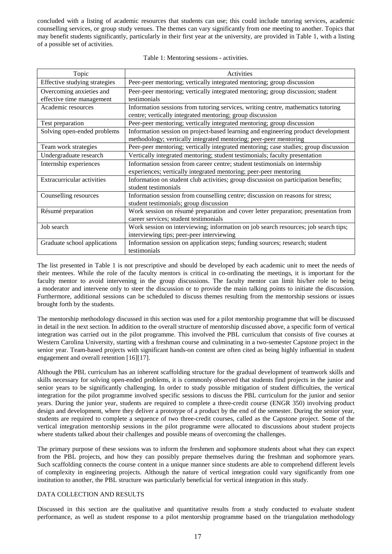concluded with a listing of academic resources that students can use; this could include tutoring services, academic counselling services, or group study venues. The themes can vary significantly from one meeting to another. Topics that may benefit students significantly, particularly in their first year at the university, are provided in Table 1, with a listing of a possible set of activities.

|  |  |  |  |  |  | Table 1: Mentoring sessions - activities. |
|--|--|--|--|--|--|-------------------------------------------|
|--|--|--|--|--|--|-------------------------------------------|

| Topic                                                 | Activities                                                                                                                                             |
|-------------------------------------------------------|--------------------------------------------------------------------------------------------------------------------------------------------------------|
| Effective studying strategies                         | Peer-peer mentoring; vertically integrated mentoring; group discussion                                                                                 |
| Overcoming anxieties and<br>effective time management | Peer-peer mentoring; vertically integrated mentoring; group discussion; student<br>testimonials                                                        |
| Academic resources                                    | Information sessions from tutoring services, writing centre, mathematics tutoring<br>centre; vertically integrated mentoring; group discussion         |
| Test preparation                                      | Peer-peer mentoring; vertically integrated mentoring; group discussion                                                                                 |
| Solving open-ended problems                           | Information session on project-based learning and engineering product development<br>methodology; vertically integrated mentoring; peer-peer mentoring |
| Team work strategies                                  | Peer-peer mentoring; vertically integrated mentoring; case studies; group discussion                                                                   |
| Undergraduate research                                | Vertically integrated mentoring; student testimonials; faculty presentation                                                                            |
| Internship experiences                                | Information session from career centre; student testimonials on internship<br>experiences; vertically integrated mentoring; peer-peer mentoring        |
| Extracurricular activities                            | Information on student club activities; group discussion on participation benefits;<br>student testimonials                                            |
| Counselling resources                                 | Information session from counselling centre; discussion on reasons for stress;<br>student testimonials; group discussion                               |
| Résumé preparation                                    | Work session on résumé preparation and cover letter preparation; presentation from<br>career services; student testimonials                            |
| Job search                                            | Work session on interviewing; information on job search resources; job search tips;<br>interviewing tips; peer-peer interviewing                       |
| Graduate school applications                          | Information session on application steps; funding sources; research; student<br>testimonials                                                           |

The list presented in Table 1 is not prescriptive and should be developed by each academic unit to meet the needs of their mentees. While the role of the faculty mentors is critical in co-ordinating the meetings, it is important for the faculty mentor to avoid intervening in the group discussions. The faculty mentor can limit his/her role to being a moderator and intervene only to steer the discussion or to provide the main talking points to initiate the discussion. Furthermore, additional sessions can be scheduled to discuss themes resulting from the mentorship sessions or issues brought forth by the students.

The mentorship methodology discussed in this section was used for a pilot mentorship programme that will be discussed in detail in the next section. In addition to the overall structure of mentorship discussed above, a specific form of vertical integration was carried out in the pilot programme. This involved the PBL curriculum that consists of five courses at Western Carolina University, starting with a freshman course and culminating in a two-semester Capstone project in the senior year. Team-based projects with significant hands-on content are often cited as being highly influential in student engagement and overall retention [16][17].

Although the PBL curriculum has an inherent scaffolding structure for the gradual development of teamwork skills and skills necessary for solving open-ended problems, it is commonly observed that students find projects in the junior and senior years to be significantly challenging. In order to study possible mitigation of student difficulties, the vertical integration for the pilot programme involved specific sessions to discuss the PBL curriculum for the junior and senior years. During the junior year, students are required to complete a three-credit course (ENGR 350) involving product design and development, where they deliver a prototype of a product by the end of the semester. During the senior year, students are required to complete a sequence of two three-credit courses, called as the Capstone project. Some of the vertical integration mentorship sessions in the pilot programme were allocated to discussions about student projects where students talked about their challenges and possible means of overcoming the challenges.

The primary purpose of these sessions was to inform the freshmen and sophomore students about what they can expect from the PBL projects, and how they can possibly prepare themselves during the freshman and sophomore years. Such scaffolding connects the course content in a unique manner since students are able to comprehend different levels of complexity in engineering projects. Although the nature of vertical integration could vary significantly from one institution to another, the PBL structure was particularly beneficial for vertical integration in this study.

### DATA COLLECTION AND RESULTS

Discussed in this section are the qualitative and quantitative results from a study conducted to evaluate student performance, as well as student response to a pilot mentorship programme based on the triangulation methodology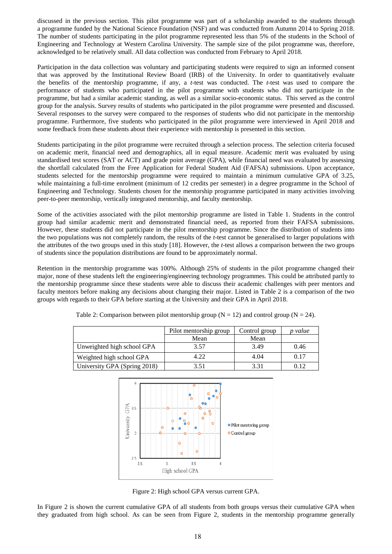discussed in the previous section. This pilot programme was part of a scholarship awarded to the students through a programme funded by the National Science Foundation (NSF) and was conducted from Autumn 2014 to Spring 2018. The number of students participating in the pilot programme represented less than 5% of the students in the School of Engineering and Technology at Western Carolina University. The sample size of the pilot programme was, therefore, acknowledged to be relatively small. All data collection was conducted from February to April 2018.

Participation in the data collection was voluntary and participating students were required to sign an informed consent that was approved by the Institutional Review Board (IRB) of the University. In order to quantitatively evaluate the benefits of the mentorship programme, if any, a *t*-test was conducted. The *t*-test was used to compare the performance of students who participated in the pilot programme with students who did not participate in the programme, but had a similar academic standing, as well as a similar socio-economic status. This served as the control group for the analysis. Survey results of students who participated in the pilot programme were presented and discussed. Several responses to the survey were compared to the responses of students who did not participate in the mentorship programme. Furthermore, five students who participated in the pilot programme were interviewed in April 2018 and some feedback from these students about their experience with mentorship is presented in this section.

Students participating in the pilot programme were recruited through a selection process. The selection criteria focused on academic merit, financial need and demographics, all in equal measure. Academic merit was evaluated by using standardised test scores (SAT or ACT) and grade point average (GPA), while financial need was evaluated by assessing the shortfall calculated from the Free Application for Federal Student Aid (FAFSA) submissions. Upon acceptance, students selected for the mentorship programme were required to maintain a minimum cumulative GPA of 3.25, while maintaining a full-time enrolment (minimum of 12 credits per semester) in a degree programme in the School of Engineering and Technology. Students chosen for the mentorship programme participated in many activities involving peer-to-peer mentorship, vertically integrated mentorship, and faculty mentorship.

Some of the activities associated with the pilot mentorship programme are listed in Table 1. Students in the control group had similar academic merit and demonstrated financial need, as reported from their FAFSA submissions. However, these students did not participate in the pilot mentorship programme. Since the distribution of students into the two populations was not completely random, the results of the *t*-test cannot be generalised to larger populations with the attributes of the two groups used in this study [18]. However, the *t*-test allows a comparison between the two groups of students since the population distributions are found to be approximately normal.

Retention in the mentorship programme was 100%. Although 25% of students in the pilot programme changed their major, none of these students left the engineering/engineering technology programmes. This could be attributed partly to the mentorship programme since these students were able to discuss their academic challenges with peer mentors and faculty mentors before making any decisions about changing their major. Listed in Table 2 is a comparison of the two groups with regards to their GPA before starting at the University and their GPA in April 2018.

|                              | Pilot mentorship group | Control group | value |
|------------------------------|------------------------|---------------|-------|
|                              | Mean                   | Mean          |       |
| Unweighted high school GPA   | 3.57                   | 3.49          | 0.46  |
| Weighted high school GPA     | 4.22                   | 4.04          | 0.17  |
| University GPA (Spring 2018) | 3.51                   | 3.31          | 0.12  |

Table 2: Comparison between pilot mentorship group ( $N = 12$ ) and control group ( $N = 24$ ).



Figure 2: High school GPA versus current GPA.

In Figure 2 is shown the current cumulative GPA of all students from both groups versus their cumulative GPA when they graduated from high school. As can be seen from Figure 2, students in the mentorship programme generally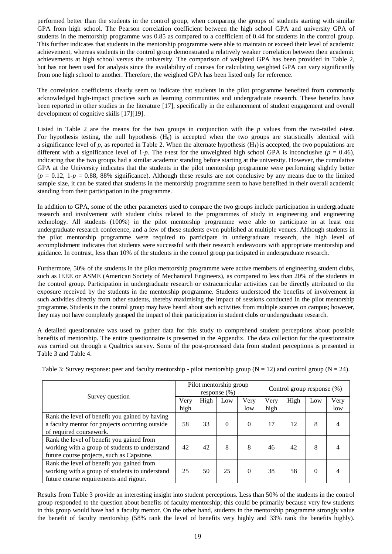performed better than the students in the control group, when comparing the groups of students starting with similar GPA from high school. The Pearson correlation coefficient between the high school GPA and university GPA of students in the mentorship programme was 0.85 as compared to a coefficient of 0.44 for students in the control group. This further indicates that students in the mentorship programme were able to maintain or exceed their level of academic achievement, whereas students in the control group demonstrated a relatively weaker correlation between their academic achievements at high school versus the university. The comparison of weighted GPA has been provided in Table 2, but has not been used for analysis since the availability of courses for calculating weighted GPA can vary significantly from one high school to another. Therefore, the weighted GPA has been listed only for reference.

The correlation coefficients clearly seem to indicate that students in the pilot programme benefited from commonly acknowledged high-impact practices such as learning communities and undergraduate research. These benefits have been reported in other studies in the literature [17], specifically in the enhancement of student engagement and overall development of cognitive skills [17][19].

Listed in Table 2 are the means for the two groups in conjunction with the *p* values from the two-tailed *t*-test. For hypothesis testing, the null hypothesis (H<sub>0</sub>) is accepted when the two groups are statistically identical with a significance level of  $p$ , as reported in Table 2. When the alternate hypothesis  $(H<sub>1</sub>)$  is accepted, the two populations are different with a significance level of 1-*p*. The *t*-test for the unweighted high school GPA is inconclusive ( $p = 0.46$ ), indicating that the two groups had a similar academic standing before starting at the university. However, the cumulative GPA at the University indicates that the students in the pilot mentorship programme were performing slightly better  $(p = 0.12, 1-p = 0.88, 88\%$  significance). Although these results are not conclusive by any means due to the limited sample size, it can be stated that students in the mentorship programme seem to have benefited in their overall academic standing from their participation in the programme.

In addition to GPA, some of the other parameters used to compare the two groups include participation in undergraduate research and involvement with student clubs related to the programmes of study in engineering and engineering technology. All students (100%) in the pilot mentorship programme were able to participate in at least one undergraduate research conference, and a few of these students even published at multiple venues. Although students in the pilot mentorship programme were required to participate in undergraduate research, the high level of accomplishment indicates that students were successful with their research endeavours with appropriate mentorship and guidance. In contrast, less than 10% of the students in the control group participated in undergraduate research.

Furthermore, 50% of the students in the pilot mentorship programme were active members of engineering student clubs, such as IEEE or ASME (American Society of Mechanical Engineers), as compared to less than 20% of the students in the control group. Participation in undergraduate research or extracurricular activities can be directly attributed to the exposure received by the students in the mentorship programme. Students understood the benefits of involvement in such activities directly from other students, thereby maximising the impact of sessions conducted in the pilot mentorship programme. Students in the control group may have heard about such activities from multiple sources on campus; however, they may not have completely grasped the impact of their participation in student clubs or undergraduate research.

A detailed questionnaire was used to gather data for this study to comprehend student perceptions about possible benefits of mentorship. The entire questionnaire is presented in the Appendix. The data collection for the questionnaire was carried out through a Qualtrics survey. Some of the post-processed data from student perceptions is presented in Table 3 and Table 4.

| Table 3: Survey response: peer and faculty mentorship - pilot mentorship group ( $N = 12$ ) and control group ( $N = 24$ ). |  |  |
|-----------------------------------------------------------------------------------------------------------------------------|--|--|
|                                                                                                                             |  |  |

| Survey question                                 |  | Pilot mentorship group<br>response $(\% )$ |          |          | Control group response (%) |      |     |      |
|-------------------------------------------------|--|--------------------------------------------|----------|----------|----------------------------|------|-----|------|
|                                                 |  | High                                       | Low      | Very     | Very                       | High | Low | Very |
|                                                 |  |                                            |          | low      | high                       |      |     | low  |
| Rank the level of benefit you gained by having  |  |                                            |          |          |                            |      |     |      |
| a faculty mentor for projects occurring outside |  | 33                                         | $\Omega$ | $\theta$ | 17                         | 12   | 8   |      |
| of required coursework.                         |  |                                            |          |          |                            |      |     |      |
| Rank the level of benefit you gained from       |  |                                            |          |          |                            |      |     |      |
| working with a group of students to understand  |  | 42                                         | 8        | 8        | 46                         | 42   | 8   |      |
| future course projects, such as Capstone.       |  |                                            |          |          |                            |      |     |      |
| Rank the level of benefit you gained from       |  |                                            |          |          |                            |      |     |      |
| working with a group of students to understand  |  | 50                                         | 25       | $\theta$ | 38                         | 58   | 0   |      |
| future course requirements and rigour.          |  |                                            |          |          |                            |      |     |      |

Results from Table 3 provide an interesting insight into student perceptions. Less than 50% of the students in the control group responded to the question about benefits of faculty mentorship; this could be primarily because very few students in this group would have had a faculty mentor. On the other hand, students in the mentorship programme strongly value the benefit of faculty mentorship (58% rank the level of benefits very highly and 33% rank the benefits highly).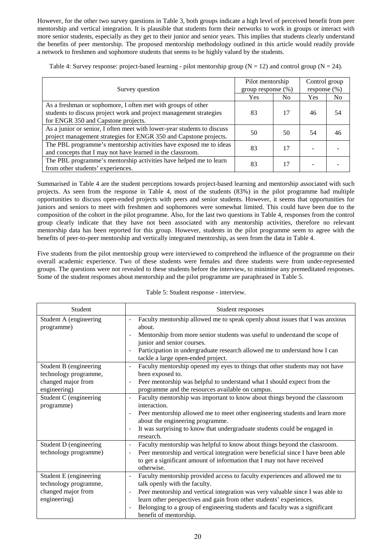However, for the other two survey questions in Table 3, both groups indicate a high level of perceived benefit from peer mentorship and vertical integration. It is plausible that students form their networks to work in groups or interact with more senior students, especially as they get to their junior and senior years. This implies that students clearly understand the benefits of peer mentorship. The proposed mentorship methodology outlined in this article would readily provide a network to freshmen and sophomore students that seems to be highly valued by the students.

Table 4: Survey response: project-based learning - pilot mentorship group ( $N = 12$ ) and control group ( $N = 24$ ).

| Survey question                                                                                                                                                           | Pilot mentorship<br>group response $(\%)$ |     | Control group<br>response $(\% )$ |    |
|---------------------------------------------------------------------------------------------------------------------------------------------------------------------------|-------------------------------------------|-----|-----------------------------------|----|
|                                                                                                                                                                           | Yes                                       | No. | <b>Yes</b>                        | No |
| As a freshman or sophomore, I often met with groups of other<br>students to discuss project work and project management strategies<br>for ENGR 350 and Capstone projects. | 83                                        | 17  | 46                                | 54 |
| As a junior or senior, I often meet with lower-year students to discuss<br>project management strategies for ENGR 350 and Capstone projects.                              | 50                                        | 50  | 54                                | 46 |
| The PBL programme's mentorship activities have exposed me to ideas<br>and concepts that I may not have learned in the classroom.                                          | 83                                        | 17  |                                   |    |
| The PBL programme's mentorship activities have helped me to learn<br>from other students' experiences.                                                                    | 83                                        | 17  |                                   |    |

Summarised in Table 4 are the student perceptions towards project-based learning and mentorship associated with such projects. As seen from the response in Table 4, most of the students (83%) in the pilot programme had multiple opportunities to discuss open-ended projects with peers and senior students. However, it seems that opportunities for juniors and seniors to meet with freshmen and sophomores were somewhat limited. This could have been due to the composition of the cohort in the pilot programme. Also, for the last two questions in Table 4, responses from the control group clearly indicate that they have not been associated with any mentorship activities, therefore no relevant mentorship data has been reported for this group. However, students in the pilot programme seem to agree with the benefits of peer-to-peer mentorship and vertically integrated mentorship, as seen from the data in Table 4.

Five students from the pilot mentorship group were interviewed to comprehend the influence of the programme on their overall academic experience. Two of these students were females and three students were from under-represented groups. The questions were not revealed to these students before the interview, to minimise any premeditated responses. Some of the student responses about mentorship and the pilot programme are paraphrased in Table 5.

| Table 5: Student response - interview. |  |
|----------------------------------------|--|
|----------------------------------------|--|

| Student                                                                               | Student responses                                                                                                                                                                                                                                                                                                                                                                                         |
|---------------------------------------------------------------------------------------|-----------------------------------------------------------------------------------------------------------------------------------------------------------------------------------------------------------------------------------------------------------------------------------------------------------------------------------------------------------------------------------------------------------|
| Student A (engineering<br>programme)                                                  | Faculty mentorship allowed me to speak openly about issues that I was anxious<br>about.<br>Mentorship from more senior students was useful to understand the scope of<br>junior and senior courses.<br>Participation in undergraduate research allowed me to understand how I can<br>$\overline{\phantom{a}}$<br>tackle a large open-ended project.                                                       |
| Student B (engineering<br>technology programme,<br>changed major from<br>engineering) | Faculty mentorship opened my eyes to things that other students may not have<br>been exposed to.<br>Peer mentorship was helpful to understand what I should expect from the<br>$\overline{\phantom{a}}$<br>programme and the resources available on campus.                                                                                                                                               |
| Student C (engineering<br>programme)                                                  | Faculty mentorship was important to know about things beyond the classroom<br>$\overline{\phantom{a}}$<br>interaction.<br>Peer mentorship allowed me to meet other engineering students and learn more<br>$\overline{\phantom{a}}$<br>about the engineering programme.<br>It was surprising to know that undergraduate students could be engaged in<br>research.                                          |
| Student D (engineering<br>technology programme)                                       | Faculty mentorship was helpful to know about things beyond the classroom.<br>$\overline{\phantom{a}}$<br>Peer mentorship and vertical integration were beneficial since I have been able<br>to get a significant amount of information that I may not have received<br>otherwise.                                                                                                                         |
| Student E (engineering<br>technology programme,<br>changed major from<br>engineering) | Faculty mentorship provided access to faculty experiences and allowed me to<br>talk openly with the faculty.<br>Peer mentorship and vertical integration was very valuable since I was able to<br>$\overline{\phantom{a}}$<br>learn other perspectives and gain from other students' experiences.<br>Belonging to a group of engineering students and faculty was a significant<br>benefit of mentorship. |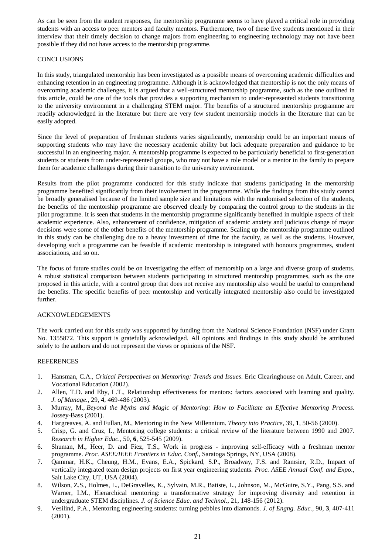As can be seen from the student responses, the mentorship programme seems to have played a critical role in providing students with an access to peer mentors and faculty mentors. Furthermore, two of these five students mentioned in their interview that their timely decision to change majors from engineering to engineering technology may not have been possible if they did not have access to the mentorship programme.

### **CONCLUSIONS**

In this study, triangulated mentorship has been investigated as a possible means of overcoming academic difficulties and enhancing retention in an engineering programme. Although it is acknowledged that mentorship is not the only means of overcoming academic challenges, it is argued that a well-structured mentorship programme, such as the one outlined in this article, could be one of the tools that provides a supporting mechanism to under-represented students transitioning to the university environment in a challenging STEM major. The benefits of a structured mentorship programme are readily acknowledged in the literature but there are very few student mentorship models in the literature that can be easily adopted.

Since the level of preparation of freshman students varies significantly, mentorship could be an important means of supporting students who may have the necessary academic ability but lack adequate preparation and guidance to be successful in an engineering major. A mentorship programme is expected to be particularly beneficial to first-generation students or students from under-represented groups, who may not have a role model or a mentor in the family to prepare them for academic challenges during their transition to the university environment.

Results from the pilot programme conducted for this study indicate that students participating in the mentorship programme benefited significantly from their involvement in the programme. While the findings from this study cannot be broadly generalised because of the limited sample size and limitations with the randomised selection of the students, the benefits of the mentorship programme are observed clearly by comparing the control group to the students in the pilot programme. It is seen that students in the mentorship programme significantly benefited in multiple aspects of their academic experience. Also, enhancement of confidence, mitigation of academic anxiety and judicious change of major decisions were some of the other benefits of the mentorship programme. Scaling up the mentorship programme outlined in this study can be challenging due to a heavy investment of time for the faculty, as well as the students. However, developing such a programme can be feasible if academic mentorship is integrated with honours programmes, student associations, and so on.

The focus of future studies could be on investigating the effect of mentorship on a large and diverse group of students. A robust statistical comparison between students participating in structured mentorship programmes, such as the one proposed in this article, with a control group that does not receive any mentorship also would be useful to comprehend the benefits. The specific benefits of peer mentorship and vertically integrated mentorship also could be investigated further.

### ACKNOWLEDGEMENTS

The work carried out for this study was supported by funding from the National Science Foundation (NSF) under Grant No. 1355872. This support is gratefully acknowledged. All opinions and findings in this study should be attributed solely to the authors and do not represent the views or opinions of the NSF.

### REFERENCES

- 1. Hansman, C.A., *Critical Perspectives on Mentoring: Trends and Issues*. Eric Clearinghouse on Adult, Career, and Vocational Education (2002).
- 2. Allen, T.D. and Eby, L.T., Relationship effectiveness for mentors: factors associated with learning and quality. *J. of Manage.*, 29, **4**, 469-486 (2003).
- 3. Murray, M., *Beyond the Myths and Magic of Mentoring: How to Facilitate an Effective Mentoring Process*. Jossey-Bass (2001).
- 4. Hargreaves, A. and Fullan, M., Mentoring in the New Millennium. *Theory into Practice,* 39, **1**, 50-56 (2000).
- 5. Crisp, G. and Cruz, I., Mentoring college students: a critical review of the literature between 1990 and 2007. *Research in Higher Educ.*, 50, **6**, 525-545 (2009).
- 6. Shuman, M., Heer, D. and Fiez, T.S., Work in progress improving self-efficacy with a freshman mentor programme. *Proc. ASEE/IEEE Frontiers in Educ. Conf.*, Saratoga Springs, NY, USA (2008).
- 7. Qammar, H.K., Cheung, H.M., Evans, E.A., Spickard, S.P., Broadway, F.S. and Ramsier, R.D., Impact of vertically integrated team design projects on first year engineering students. *Proc. ASEE Annual Conf. and Expo.*, Salt Lake City, UT, USA (2004).
- 8. Wilson, Z.S., Holmes, L., DeGravelles, K., Sylvain, M.R., Batiste, L., Johnson, M., McGuire, S.Y., Pang, S.S. and Warner, I.M., Hierarchical mentoring: a transformative strategy for improving diversity and retention in undergraduate STEM disciplines. *J. of Science Educ. and Technol.*, 21, 148-156 (2012).
- 9. Vesilind, P.A., Mentoring engineering students: turning pebbles into diamonds. *J. of Engng. Educ.*, 90, **3**, 407-411 (2001).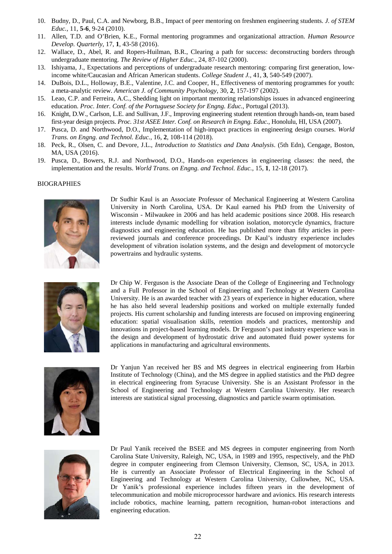- 10. Budny, D., Paul, C.A. and Newborg, B.B., Impact of peer mentoring on freshmen engineering students. *J. of STEM Educ.,* 11, **5-6**, 9-24 (2010).
- 11. Allen, T.D. and O'Brien, K.E., Formal mentoring programmes and organizational attraction. *Human Resource Develop. Quarterly*, 17, **1**, 43-58 (2016).
- 12. Wallace, D., Abel, R. and Ropers-Huilman, B.R., Clearing a path for success: deconstructing borders through undergraduate mentoring. *The Review of Higher Educ.*, 24, 87-102 (2000).
- 13. Ishiyama, J., Expectations and perceptions of undergraduate research mentoring: comparing first generation, lowincome white/Caucasian and African American students. *College Student J.,* 41, **3**, 540-549 (2007).
- 14. DuBois, D.L., Holloway, B.E., Valentine, J.C. and Cooper, H., Effectiveness of mentoring programmes for youth: a meta-analytic review. *American J. of Community Psychology*, 30, **2**, 157-197 (2002).
- 15. Leao, C.P. and Ferreira, A.C., Shedding light on important mentoring relationships issues in advanced engineering education. *Proc. Inter. Conf. of the Portuguese Society for Engng. Educ.*, Portugal (2013).
- 16. Knight, D.W., Carlson, L.E. and Sullivan, J.F., Improving engineering student retention through hands-on, team based first-year design projects. *Proc. 31st ASEE Inter. Conf. on Research in Engng. Educ.*, Honolulu, HI, USA (2007).
- 17. Pusca, D. and Northwood, D.O., Implementation of high-impact practices in engineering design courses. *World Trans. on Engng. and Technol. Educ.*, 16, **2**, 108-114 (2018).
- 18. Peck, R., Olsen, C. and Devore, J.L., *Introduction to Statistics and Data Analysis*. (5th Edn), Cengage, Boston, MA, USA (2016).
- 19. Pusca, D., Bowers, R.J. and Northwood, D.O., Hands-on experiences in engineering classes: the need, the implementation and the results. *World Trans. on Engng. and Technol. Educ.*, 15, **1**, 12-18 (2017).

#### BIOGRAPHIES



Dr Sudhir Kaul is an Associate Professor of Mechanical Engineering at Western Carolina University in North Carolina, USA. Dr Kaul earned his PhD from the University of Wisconsin - Milwaukee in 2006 and has held academic positions since 2008. His research interests include dynamic modelling for vibration isolation, motorcycle dynamics, fracture diagnostics and engineering education. He has published more than fifty articles in peerreviewed journals and conference proceedings. Dr Kaul's industry experience includes development of vibration isolation systems, and the design and development of motorcycle powertrains and hydraulic systems.



Dr Chip W. Ferguson is the Associate Dean of the College of Engineering and Technology and a Full Professor in the School of Engineering and Technology at Western Carolina University. He is an awarded teacher with 23 years of experience in higher education, where he has also held several leadership positions and worked on multiple externally funded projects. His current scholarship and funding interests are focused on improving engineering education: spatial visualisation skills, retention models and practices, mentorship and innovations in project-based learning models. Dr Ferguson's past industry experience was in the design and development of hydrostatic drive and automated fluid power systems for applications in manufacturing and agricultural environments.



Dr Yanjun Yan received her BS and MS degrees in electrical engineering from Harbin Institute of Technology (China), and the MS degree in applied statistics and the PhD degree in electrical engineering from Syracuse University. She is an Assistant Professor in the School of Engineering and Technology at Western Carolina University. Her research interests are statistical signal processing, diagnostics and particle swarm optimisation.



Dr Paul Yanik received the BSEE and MS degrees in computer engineering from North Carolina State University, Raleigh, NC, USA, in 1989 and 1995, respectively, and the PhD degree in computer engineering from Clemson University, Clemson, SC, USA, in 2013. He is currently an Associate Professor of Electrical Engineering in the School of Engineering and Technology at Western Carolina University, Cullowhee, NC, USA. Dr Yanik's professional experience includes fifteen years in the development of telecommunication and mobile microprocessor hardware and avionics. His research interests include robotics, machine learning, pattern recognition, human-robot interactions and engineering education.